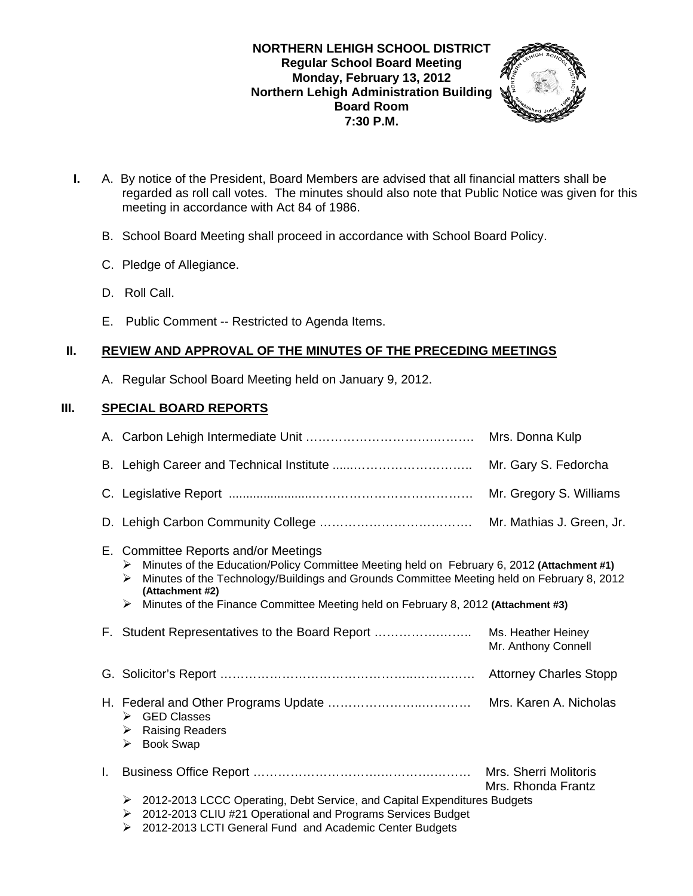### **NORTHERN LEHIGH SCHOOL DISTRICT Regular School Board Meeting Monday, February 13, 2012 Northern Lehigh Administration Building Board Room 7:30 P.M.**



- **I.** A. By notice of the President, Board Members are advised that all financial matters shall be regarded as roll call votes. The minutes should also note that Public Notice was given for this meeting in accordance with Act 84 of 1986.
	- B. School Board Meeting shall proceed in accordance with School Board Policy.
	- C. Pledge of Allegiance.
	- D. Roll Call.
	- E. Public Comment -- Restricted to Agenda Items.

# **II. REVIEW AND APPROVAL OF THE MINUTES OF THE PRECEDING MEETINGS**

A. Regular School Board Meeting held on January 9, 2012.

## **III. SPECIAL BOARD REPORTS**

|    |                                                                                                                                                                                                                                                                                                                                                         | Mr. Gary S. Fedorcha                      |  |  |
|----|---------------------------------------------------------------------------------------------------------------------------------------------------------------------------------------------------------------------------------------------------------------------------------------------------------------------------------------------------------|-------------------------------------------|--|--|
|    |                                                                                                                                                                                                                                                                                                                                                         | Mr. Gregory S. Williams                   |  |  |
|    |                                                                                                                                                                                                                                                                                                                                                         | Mr. Mathias J. Green, Jr.                 |  |  |
|    | E. Committee Reports and/or Meetings<br>Minutes of the Education/Policy Committee Meeting held on February 6, 2012 (Attachment #1)<br>➤<br>Minutes of the Technology/Buildings and Grounds Committee Meeting held on February 8, 2012<br>⋗<br>(Attachment #2)<br>Minutes of the Finance Committee Meeting held on February 8, 2012 (Attachment #3)<br>➤ |                                           |  |  |
|    | F. Student Representatives to the Board Report                                                                                                                                                                                                                                                                                                          | Ms. Heather Heiney<br>Mr. Anthony Connell |  |  |
|    |                                                                                                                                                                                                                                                                                                                                                         | <b>Attorney Charles Stopp</b>             |  |  |
|    | $\triangleright$ GED Classes<br><b>Raising Readers</b><br>➤<br>➤<br><b>Book Swap</b>                                                                                                                                                                                                                                                                    | Mrs. Karen A. Nicholas                    |  |  |
| L. |                                                                                                                                                                                                                                                                                                                                                         | Mrs. Rhonda Frantz                        |  |  |
|    | 2012-2013 LCCC Operating, Debt Service, and Capital Expenditures Budgets<br>➤<br>2012-2013 CLIU #21 Operational and Programs Services Budget<br>➤<br>2012-2013 LCTI General Fund and Academic Center Budgets<br>≻                                                                                                                                       |                                           |  |  |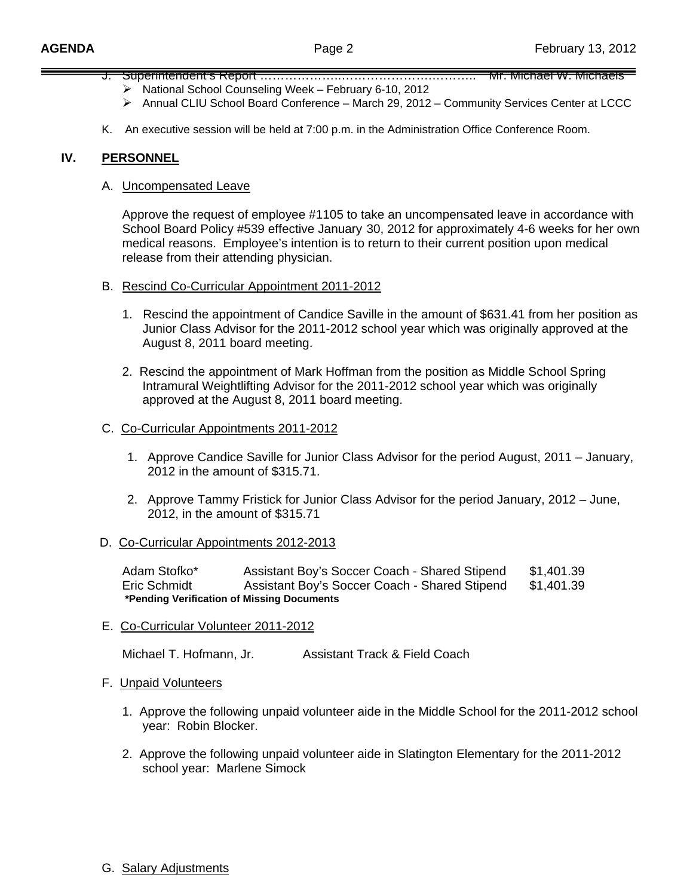- J. Superintendent's Report …………………………………………………………… Mr. Michael W. Michaels ¾ National School Counseling Week – February 6-10, 2012
	- ¾ Annual CLIU School Board Conference March 29, 2012 Community Services Center at LCCC
- K. An executive session will be held at 7:00 p.m. in the Administration Office Conference Room.

## **IV. PERSONNEL**

### A. Uncompensated Leave

 Approve the request of employee #1105 to take an uncompensated leave in accordance with School Board Policy #539 effective January 30, 2012 for approximately 4-6 weeks for her own medical reasons. Employee's intention is to return to their current position upon medical release from their attending physician.

- B. Rescind Co-Curricular Appointment 2011-2012
	- 1. Rescind the appointment of Candice Saville in the amount of \$631.41 from her position as Junior Class Advisor for the 2011-2012 school year which was originally approved at the August 8, 2011 board meeting.
	- 2. Rescind the appointment of Mark Hoffman from the position as Middle School Spring Intramural Weightlifting Advisor for the 2011-2012 school year which was originally approved at the August 8, 2011 board meeting.

### C. Co-Curricular Appointments 2011-2012

- 1. Approve Candice Saville for Junior Class Advisor for the period August, 2011 January, 2012 in the amount of \$315.71.
- 2. Approve Tammy Fristick for Junior Class Advisor for the period January, 2012 June, 2012, in the amount of \$315.71

### D. Co-Curricular Appointments 2012-2013

 Adam Stofko\* Assistant Boy's Soccer Coach - Shared Stipend \$1,401.39 Eric Schmidt Assistant Boy's Soccer Coach - Shared Stipend \$1,401.39  **\*Pending Verification of Missing Documents** 

E. Co-Curricular Volunteer 2011-2012

Michael T. Hofmann, Jr. **Assistant Track & Field Coach** 

### F. Unpaid Volunteers

- 1. Approve the following unpaid volunteer aide in the Middle School for the 2011-2012 school year: Robin Blocker.
- 2. Approve the following unpaid volunteer aide in Slatington Elementary for the 2011-2012 school year: Marlene Simock

### G. Salary Adjustments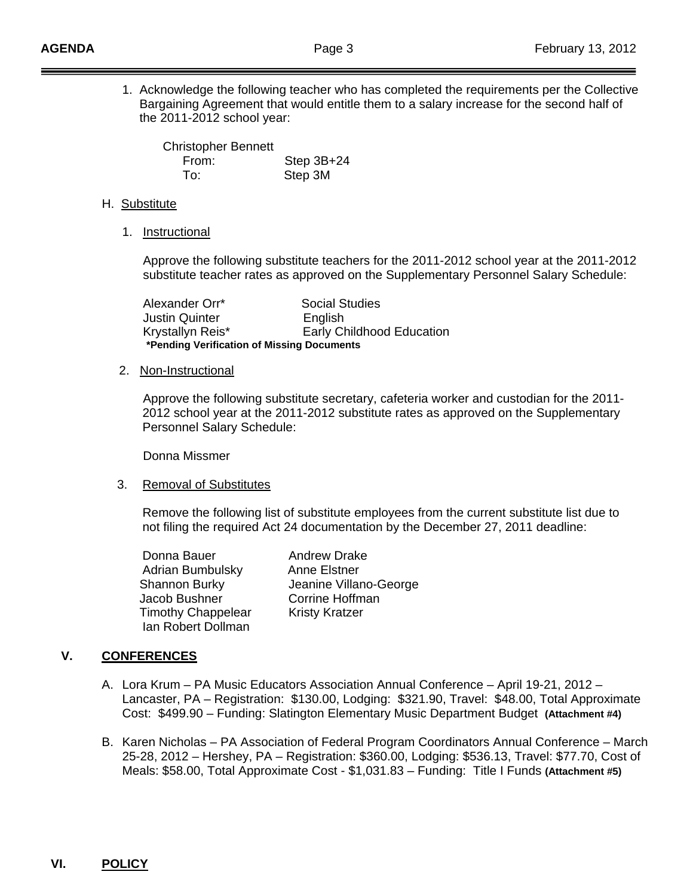Ī

 1. Acknowledge the following teacher who has completed the requirements per the Collective Bargaining Agreement that would entitle them to a salary increase for the second half of the 2011-2012 school year:

 Christopher Bennett From: Step 3B+24 To: Step 3M

### H. Substitute

1. Instructional

 Approve the following substitute teachers for the 2011-2012 school year at the 2011-2012 substitute teacher rates as approved on the Supplementary Personnel Salary Schedule:

 Alexander Orr\* Social Studies Justin Quinter English Krystallyn Reis\* Early Childhood Education **\*Pending Verification of Missing Documents** 

### 2. Non-Instructional

 Approve the following substitute secretary, cafeteria worker and custodian for the 2011- 2012 school year at the 2011-2012 substitute rates as approved on the Supplementary Personnel Salary Schedule:

Donna Missmer

### 3. Removal of Substitutes

 Remove the following list of substitute employees from the current substitute list due to not filing the required Act 24 documentation by the December 27, 2011 deadline:

Donna Bauer **Andrew Drake**  Adrian Bumbulsky Anne Elstner Jacob Bushner Corrine Hoffman Timothy Chappelear Kristy Kratzer Ian Robert Dollman

Shannon Burky Jeanine Villano-George

# **V. CONFERENCES**

- A. Lora Krum PA Music Educators Association Annual Conference April 19-21, 2012 Lancaster, PA – Registration: \$130.00, Lodging: \$321.90, Travel: \$48.00, Total Approximate Cost: \$499.90 – Funding: Slatington Elementary Music Department Budget **(Attachment #4)**
- B. Karen Nicholas PA Association of Federal Program Coordinators Annual Conference March 25-28, 2012 – Hershey, PA – Registration: \$360.00, Lodging: \$536.13, Travel: \$77.70, Cost of Meals: \$58.00, Total Approximate Cost - \$1,031.83 – Funding: Title I Funds **(Attachment #5)**

# **VI. POLICY**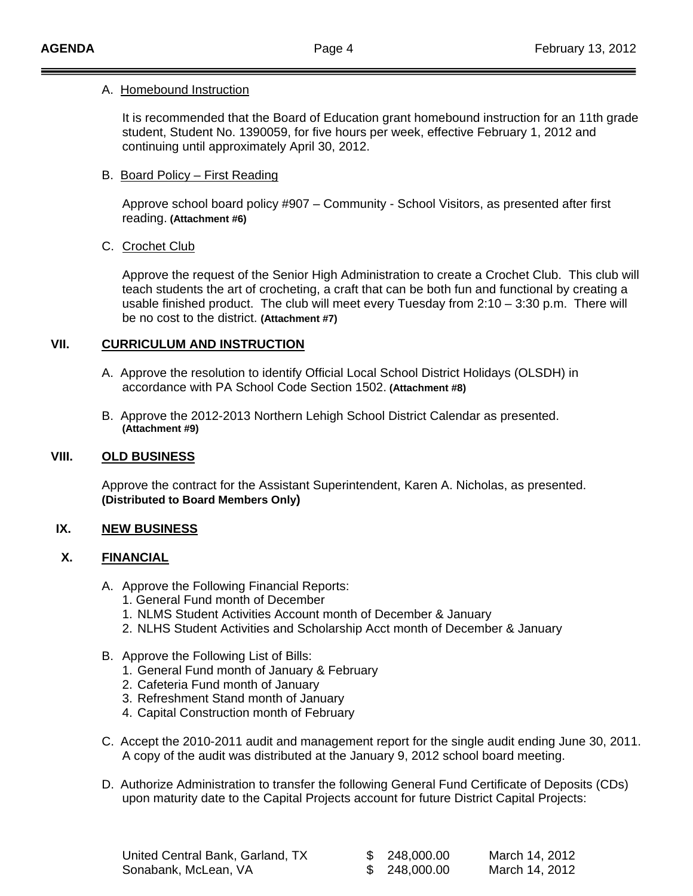### A.Homebound Instruction

 It is recommended that the Board of Education grant homebound instruction for an 11th grade student, Student No. 1390059, for five hours per week, effective February 1, 2012 and continuing until approximately April 30, 2012.

## B. Board Policy – First Reading

 Approve school board policy #907 – Community - School Visitors, as presented after first reading. **(Attachment #6)**

## C. Crochet Club

 Approve the request of the Senior High Administration to create a Crochet Club. This club will teach students the art of crocheting, a craft that can be both fun and functional by creating a usable finished product. The club will meet every Tuesday from 2:10 – 3:30 p.m. There will be no cost to the district. **(Attachment #7)**

## **VII. CURRICULUM AND INSTRUCTION**

- A. Approve the resolution to identify Official Local School District Holidays (OLSDH) in accordance with PA School Code Section 1502. **(Attachment #8)**
- B. Approve the 2012-2013 Northern Lehigh School District Calendar as presented. **(Attachment #9)**

## **VIII. OLD BUSINESS**

 Approve the contract for the Assistant Superintendent, Karen A. Nicholas, as presented. **(Distributed to Board Members Only)**

## **IX. NEW BUSINESS**

## **X. FINANCIAL**

- A. Approve the Following Financial Reports:
	- 1. General Fund month of December
	- 1. NLMS Student Activities Account month of December & January
	- 2. NLHS Student Activities and Scholarship Acct month of December & January
- B. Approve the Following List of Bills:
	- 1. General Fund month of January & February
	- 2. Cafeteria Fund month of January
	- 3. Refreshment Stand month of January
	- 4. Capital Construction month of February
- C. Accept the 2010-2011 audit and management report for the single audit ending June 30, 2011. A copy of the audit was distributed at the January 9, 2012 school board meeting.
- D. Authorize Administration to transfer the following General Fund Certificate of Deposits (CDs) upon maturity date to the Capital Projects account for future District Capital Projects:

| United Central Bank, Garland, TX |  |
|----------------------------------|--|
| Sonabank, McLean, VA             |  |

\$ 248,000.00 March 14, 2012

248,000.00 March 14, 2012